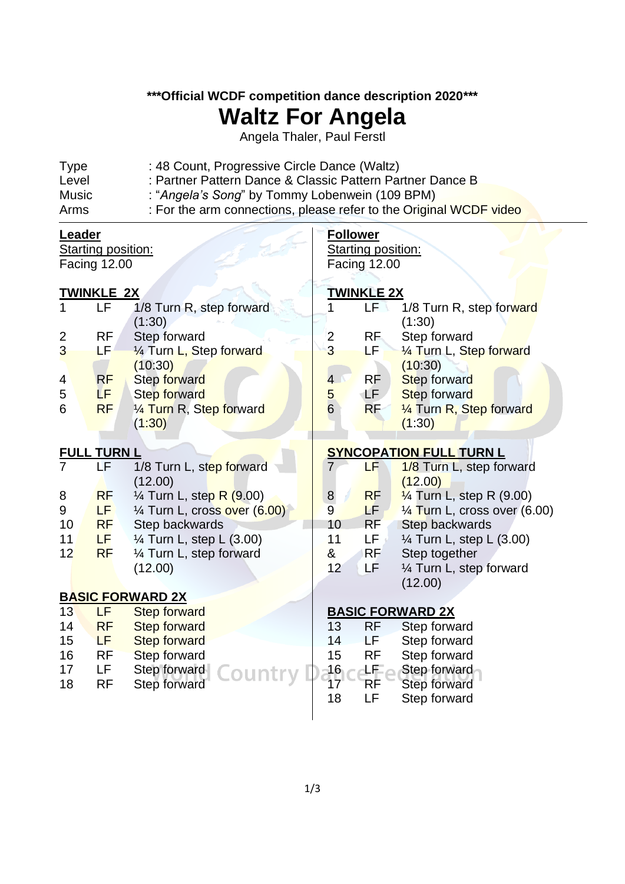**\*\*\*Official WCDF competition dance description 2020\*\*\***

## **Waltz For Angela**

Angela Thaler, Paul Ferstl

| Arms        | : For the arm connections, please refer to the Original WCDF video |
|-------------|--------------------------------------------------------------------|
| Music       | : "Angela's Song" by Tommy Lobenwein (109 BPM)                     |
| Level       | : Partner Pattern Dance & Classic Pattern Partner Dance B          |
| <b>Type</b> | : 48 Count, Progressive Circle Dance (Waltz)                       |

| <u>Leader</u>             |                   | <b>Follower</b>                     |                                |                   |                                         |  |  |
|---------------------------|-------------------|-------------------------------------|--------------------------------|-------------------|-----------------------------------------|--|--|
| <b>Starting position:</b> |                   | <b>Starting position:</b>           |                                |                   |                                         |  |  |
| <b>Facing 12.00</b>       |                   |                                     | Facing 12.00                   |                   |                                         |  |  |
|                           |                   |                                     |                                |                   |                                         |  |  |
|                           | <u>TWINKLE 2X</u> |                                     |                                | <u>TWINKLE 2X</u> |                                         |  |  |
| 1                         | <b>LF</b>         | 1/8 Turn R, step forward            | $\overline{1}$                 | LF                | 1/8 Turn R, step forward                |  |  |
|                           |                   | (1:30)                              |                                |                   | (1:30)                                  |  |  |
| $\overline{2}$            | <b>RF</b>         | Step forward                        | $\overline{\mathbf{c}}$        | RF.               | Step forward                            |  |  |
| 3                         | LF.               | 1/4 Turn L, Step forward            | 3                              | LF                | 1/4 Turn L, Step forward                |  |  |
|                           |                   | (10:30)                             |                                |                   | (10:30)                                 |  |  |
| 4                         | <b>RF</b>         | <b>Step forward</b>                 | $\overline{4}$                 | RF.               | Step forward                            |  |  |
| 5                         | LF.               | Step forward                        | 5                              | LF.               | Step forward                            |  |  |
| $6\phantom{1}6$           | <b>RF</b>         | 1/4 Turn R, Step forward            | $6\overline{6}$                | <b>RF</b>         | 1/4 Turn R, Step forward                |  |  |
|                           |                   | (1:30)                              |                                |                   | (1:30)                                  |  |  |
|                           |                   |                                     |                                |                   |                                         |  |  |
| <b>FULL TURN L</b>        |                   |                                     | <b>SYNCOPATION FULL TURN L</b> |                   |                                         |  |  |
| $\overline{7}$            | LF                | 1/8 Turn L, step forward            | 7                              | LF                | 1/8 Turn L, step forward                |  |  |
|                           |                   | (12.00)                             |                                |                   | (12.00)                                 |  |  |
| 8                         | <b>RF</b>         | $\frac{1}{4}$ Turn L, step R (9.00) | $\bf{8}$                       | <b>RF</b>         | $\frac{1}{4}$ Turn L, step R (9.00)     |  |  |
| $\boldsymbol{9}$          | LF.               | 1/4 Turn L, cross over (6.00)       | $\overline{9}$                 | LF:               | $\frac{1}{4}$ Turn L, cross over (6.00) |  |  |
| 10                        | <b>RF</b>         | Step backwards                      | 10                             | RF                | <b>Step backwards</b>                   |  |  |
| 11                        | LF                | $\frac{1}{4}$ Turn L, step L (3.00) | 11                             | LF ,              | 1⁄4 Turn L, step L (3.00)               |  |  |
| 12                        | <b>RF</b>         | 1/4 Turn L, step forward            | &                              | <b>RF</b>         | Step together                           |  |  |
|                           |                   | (12.00)                             | 12                             | LF                | 1/4 Turn L, step forward                |  |  |
|                           |                   |                                     |                                |                   | (12.00)                                 |  |  |
|                           |                   | <b>BASIC FORWARD 2X</b>             |                                |                   |                                         |  |  |
| 13                        | LF                | <b>Step forward</b>                 |                                |                   | <b>BASIC FORWARD 2X</b>                 |  |  |
| 14                        | <b>RF</b>         | <b>Step forward</b>                 | 13                             | <b>RF</b>         | Step forward                            |  |  |
| 15                        | <b>LF</b>         | <b>Step forward</b>                 | 14                             | LF.               | Step forward                            |  |  |
| 16                        | <b>RF</b>         | <b>Step forward</b>                 | 15                             | <b>RF</b>         | Step forward                            |  |  |
| 17                        | LF.               | Step forward                        | 16<br>17                       | ±⊞∠               | Step forward                            |  |  |
| 18                        | <b>RF</b>         | Step forward                        |                                | RF                | Step forward                            |  |  |
|                           |                   |                                     | 18                             | LF                | Step forward                            |  |  |

 $\overline{\phantom{a}}$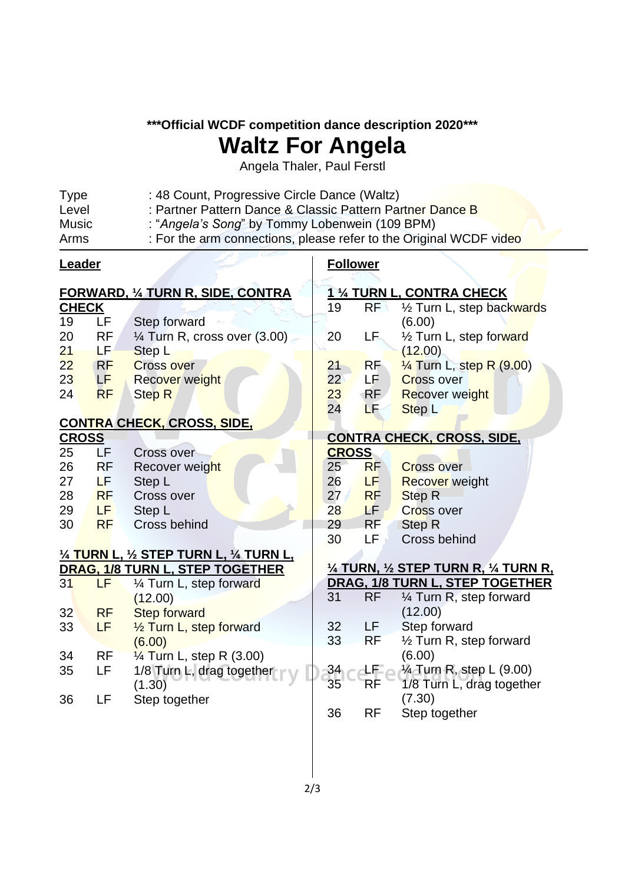**\*\*\*Official WCDF competition dance description 2020\*\*\***

## **Waltz For Angela**

Angela Thaler, Paul Ferstl

| <b>Type</b> | : 48 Count, Progressive Circle Dance (Waltz)                       |
|-------------|--------------------------------------------------------------------|
| Level       | : Partner Pattern Dance & Classic Pattern Partner Dance B          |
| Music       | : "Angela's Song" by Tommy Lobenwein (109 BPM)                     |
| Arms        | : For the arm connections, please refer to the Original WCDF video |

| <b>Leader</b>                            |                                          |                                     | <b>Follower</b> |                 |                                                                           |
|------------------------------------------|------------------------------------------|-------------------------------------|-----------------|-----------------|---------------------------------------------------------------------------|
| <b>FORWARD, 1/4 TURN R, SIDE, CONTRA</b> |                                          |                                     |                 |                 | 1 1/4 TURN L, CONTRA CHECK                                                |
| <b>CHECK</b>                             |                                          |                                     | 19              | RF              | 1/2 Turn L, step backwards                                                |
| 19                                       | LF                                       | Step forward                        |                 |                 | (6.00)                                                                    |
| 20                                       | <b>RF</b>                                | 1⁄4 Turn R, cross over (3.00)       | 20              | LF.             | 1/2 Turn L, step forward                                                  |
| 21                                       | LF.                                      | Step L                              |                 |                 | (12.00)                                                                   |
| 22                                       | <b>RF</b>                                | <b>Cross over</b>                   | 21              | <b>RF</b>       | $\frac{1}{4}$ Turn L, step R (9.00)                                       |
| 23                                       | LF                                       | Recover weight                      | 22              | LF.             | <b>Cross over</b>                                                         |
| 24                                       | <b>RF</b>                                | <b>Step R</b>                       | 23              | <b>RF</b>       | <b>Recover weight</b>                                                     |
|                                          |                                          |                                     | 24              | LF              | Step <sub>L</sub>                                                         |
|                                          |                                          | <u>CONTRA CHECK, CROSS, SIDE,</u>   |                 |                 |                                                                           |
| <b>CROSS</b>                             |                                          |                                     |                 |                 | <b>CONTRA CHECK, CROSS, SIDE,</b>                                         |
| 25                                       | LF                                       | <b>Cross over</b>                   | <b>CROSS</b>    |                 |                                                                           |
| 26                                       | <b>RF</b>                                | Recover weight                      | 25              | <b>RF</b>       | <b>Cross over</b>                                                         |
| 27                                       | LF.                                      | Step L                              | 26              | LF.             | <b>Recover</b> weight                                                     |
| 28                                       | <b>RF</b>                                | Cross over                          | 27 <sub>1</sub> | <b>RF</b>       | Step <sub>R</sub>                                                         |
| 29                                       | <b>LF</b>                                | Step L                              | 28              | LF <sub>1</sub> | <b>Cross over</b>                                                         |
| 30                                       | <b>RF</b>                                | Cross behind                        | 29              | <b>RF</b>       | <b>Step R</b>                                                             |
|                                          |                                          |                                     | 30              | LF              | Cross behind                                                              |
|                                          | 1/4 TURN L, 1/2 STEP TURN L, 1/4 TURN L, |                                     |                 |                 |                                                                           |
| 31                                       | LF                                       | DRAG, 1/8 TURN L, STEP TOGETHER     |                 |                 | 1/4 TURN, 1/2 STEP TURN R, 1/4 TURN R,<br>DRAG, 1/8 TURN L, STEP TOGETHER |
|                                          |                                          | 1/4 Turn L, step forward<br>(12.00) | 31              | <b>RF</b>       | 1⁄4 Turn R, step forward                                                  |
| 32                                       | <b>RF</b>                                | <b>Step forward</b>                 |                 |                 | (12.00)                                                                   |
| 33                                       | LF                                       | 1/2 Turn L, step forward            | 32              | LF.             | Step forward                                                              |
|                                          |                                          | (6.00)                              | 33              | <b>RF</b>       | 1/2 Turn R, step forward                                                  |
| 34                                       | <b>RF</b>                                | $\frac{1}{4}$ Turn L, step R (3.00) |                 |                 | (6.00)                                                                    |
| 35                                       | LF                                       | 1/8 Turn L, drag together           | 34              | 坦己              | 1⁄4 Turn R, step L (9.00)                                                 |
|                                          |                                          | (1.30)                              | 35              | RF              | 1/8 Turn L, drag together                                                 |
| 36                                       | LF                                       | Step together                       |                 |                 | (7.30)                                                                    |
|                                          |                                          |                                     | 36              | <b>RF</b>       | Step together                                                             |
|                                          |                                          |                                     |                 |                 |                                                                           |